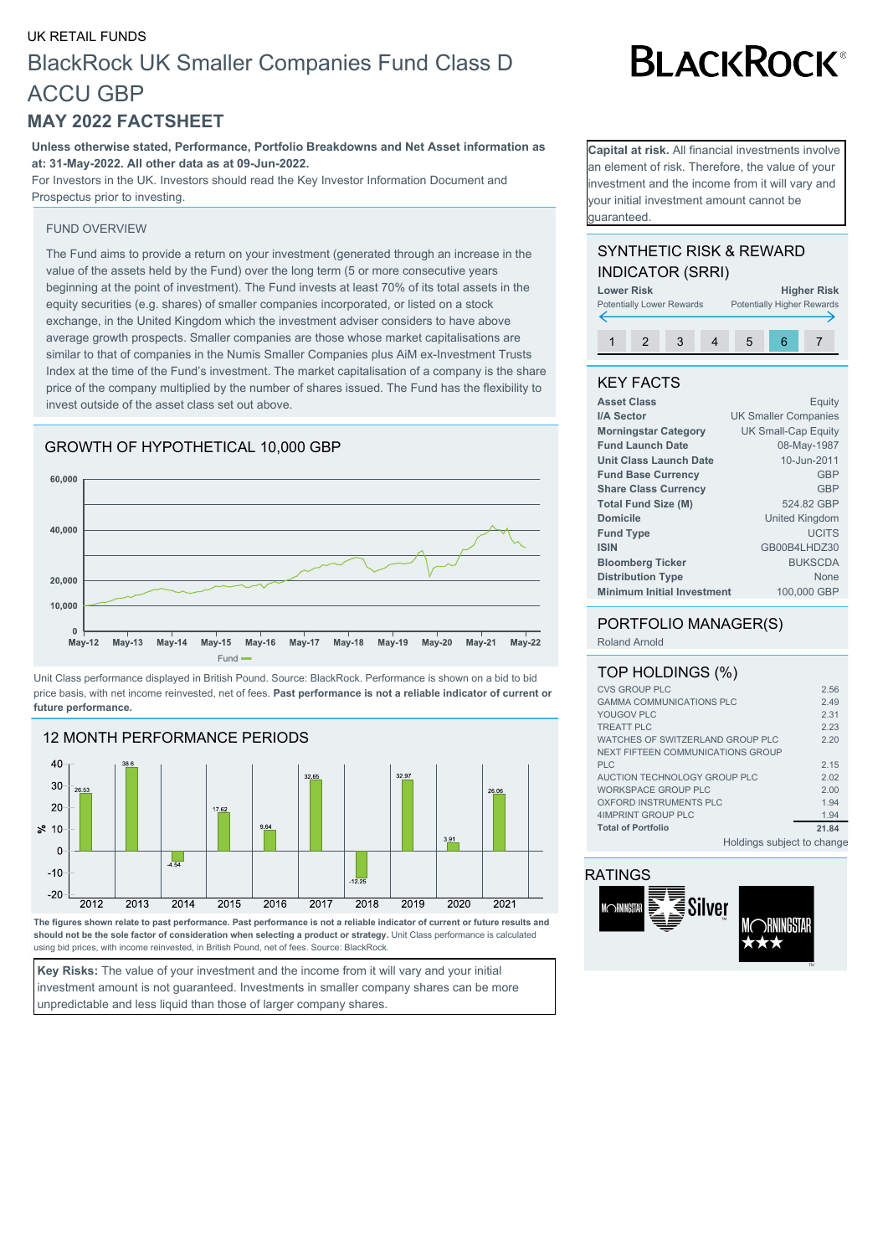## UK RETAIL FUNDS BlackRock UK Smaller Companies Fund Class D ACCU GBP

## **MAY 2022 FACTSHEET**

**Unless otherwise stated, Performance, Portfolio Breakdowns and Net Asset information as at: 31-May-2022. All other data as at 09-Jun-2022.**

For Investors in the UK. Investors should read the Key Investor Information Document and Prospectus prior to investing.

### FUND OVERVIEW

The Fund aims to provide a return on your investment (generated through an increase in the value of the assets held by the Fund) over the long term (5 or more consecutive years beginning at the point of investment). The Fund invests at least 70% of its total assets in the equity securities (e.g. shares) of smaller companies incorporated, or listed on a stock exchange, in the United Kingdom which the investment adviser considers to have above average growth prospects. Smaller companies are those whose market capitalisations are similar to that of companies in the Numis Smaller Companies plus AiM ex-Investment Trusts Index at the time of the Fund's investment. The market capitalisation of a company is the share price of the company multiplied by the number of shares issued. The Fund has the flexibility to invest outside of the asset class set out above.





Unit Class performance displayed in British Pound. Source: BlackRock. Performance is shown on a bid to bid price basis, with net income reinvested, net of fees. **Past performance is not a reliable indicator of current or future performance.**



**The figures shown relate to past performance. Past performance is not a reliable indicator of current or future results and should not be the sole factor of consideration when selecting a product or strategy.** Unit Class performance is calculated using bid prices, with income reinvested, in British Pound, net of fees. Source: BlackRock.

**Key Risks:** The value of your investment and the income from it will vary and your initial investment amount is not guaranteed. Investments in smaller company shares can be more unpredictable and less liquid than those of larger company shares.

# **BLACKROCK®**

**Capital at risk.** All financial investments involve an element of risk. Therefore, the value of your nvestment and the income from it will vary and your initial investment amount cannot be guaranteed.

## SYNTHETIC RISK & REWARD INDICATOR (SRRI)



## KEY FACTS

| <b>Asset Class</b>                | Equity                      |
|-----------------------------------|-----------------------------|
| I/A Sector                        | <b>UK Smaller Companies</b> |
| <b>Morningstar Category</b>       | <b>UK Small-Cap Equity</b>  |
| <b>Fund Launch Date</b>           | 08-May-1987                 |
| <b>Unit Class Launch Date</b>     | 10-Jun-2011                 |
| <b>Fund Base Currency</b>         | <b>GBP</b>                  |
| <b>Share Class Currency</b>       | <b>GBP</b>                  |
| <b>Total Fund Size (M)</b>        | 524.82 GBP                  |
| <b>Domicile</b>                   | United Kingdom              |
| <b>Fund Type</b>                  | <b>UCITS</b>                |
| <b>ISIN</b>                       | GB00B4LHDZ30                |
| <b>Bloomberg Ticker</b>           | <b>BUKSCDA</b>              |
| <b>Distribution Type</b>          | None                        |
| <b>Minimum Initial Investment</b> | 100,000 GBP                 |
|                                   |                             |

## PORTFOLIO MANAGER(S)

Roland Arnold

| TOP HOLDINGS (%)                  |       |
|-----------------------------------|-------|
| <b>CVS GROUP PLC</b>              | 2.56  |
| <b>GAMMA COMMUNICATIONS PLC</b>   | 2.49  |
| YOUGOV PLC                        | 2.31  |
| <b>TREATT PLC</b>                 | 2.23  |
| WATCHES OF SWITZERLAND GROUP PLC  | 220   |
| NEXT FIFTEEN COMMUNICATIONS GROUP |       |
| <b>PLC</b>                        | 2.15  |
| AUCTION TECHNOLOGY GROUP PLC      | 2.02  |
| WORKSPACE GROUP PLC               | 2.00  |
| OXFORD INSTRUMENTS PLC            | 1.94  |
| 4IMPRINT GROUP PLC                | 1.94  |
| <b>Total of Portfolio</b>         | 21.84 |
|                                   |       |

Holdings subject to change

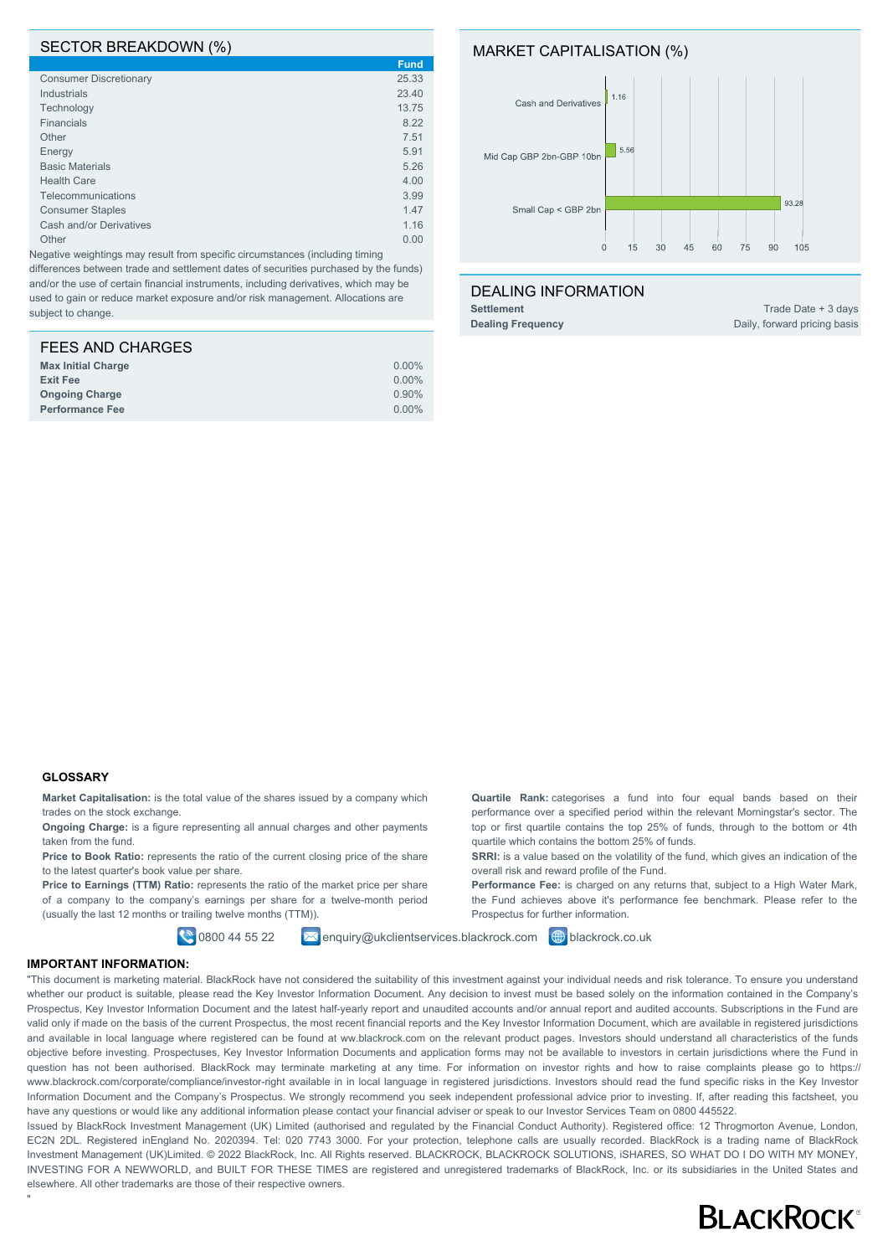### SECTOR BREAKDOWN (%)

|                               | <b>Fund</b> |
|-------------------------------|-------------|
| <b>Consumer Discretionary</b> | 25.33       |
| <b>Industrials</b>            | 23.40       |
| Technology                    | 13.75       |
| <b>Financials</b>             | 8.22        |
| Other                         | 7.51        |
| Energy                        | 5.91        |
| <b>Basic Materials</b>        | 5.26        |
| <b>Health Care</b>            | 4.00        |
| Telecommunications            | 3.99        |
| <b>Consumer Staples</b>       | 1.47        |
| Cash and/or Derivatives       | 1.16        |
| Other                         | 0.00        |

Negative weightings may result from specific circumstances (including timing differences between trade and settlement dates of securities purchased by the funds) and/or the use of certain financial instruments, including derivatives, which may be used to gain or reduce market exposure and/or risk management. Allocations are subject to change.

| $0.00\%$ |
|----------|
| $0.00\%$ |
| 0.90%    |
| $0.00\%$ |
|          |



## DEALING INFORMATION

 $\overline{0}$  $15$  $30$  $45$  $60$  $75$ 

**Settlement** Trade Date + 3 days **Dealing Frequency** Daily, forward pricing basis

105  $90$ 

## **GLOSSARY**

**Market Capitalisation:** is the total value of the shares issued by a company which trades on the stock exchange.

**Ongoing Charge:** is a figure representing all annual charges and other payments taken from the fund.

Price to Book Ratio: represents the ratio of the current closing price of the share to the latest quarter's book value per share.

Price to Earnings (TTM) Ratio: represents the ratio of the market price per share of a company to the company's earnings per share for a twelve-month period (usually the last 12 months or trailing twelve months (TTM)).

**Quartile Rank:** categorises a fund into four equal bands based on their performance over a specified period within the relevant Morningstar's sector. The top or first quartile contains the top 25% of funds, through to the bottom or 4th quartile which contains the bottom 25% of funds.

**SRRI:** is a value based on the volatility of the fund, which gives an indication of the overall risk and reward profile of the Fund.

Performance Fee: is charged on any returns that, subject to a High Water Mark, the Fund achieves above it's performance fee benchmark. Please refer to the Prospectus for further information.

**0800 44 55 22 Ex enquiry@ukclientservices.blackrock.com @** blackrock.co.uk

#### **IMPORTANT INFORMATION:**

"

"This document is marketing material. BlackRock have not considered the suitability of this investment against your individual needs and risk tolerance. To ensure you understand whether our product is suitable, please read the Key Investor Information Document. Any decision to invest must be based solely on the information contained in the Company's Prospectus, Key Investor Information Document and the latest half-yearly report and unaudited accounts and/or annual report and audited accounts. Subscriptions in the Fund are valid only if made on the basis of the current Prospectus, the most recent financial reports and the Key Investor Information Document, which are available in registered jurisdictions and available in local language where registered can be found at ww.blackrock.com on the relevant product pages. Investors should understand all characteristics of the funds objective before investing. Prospectuses, Key Investor Information Documents and application forms may not be available to investors in certain jurisdictions where the Fund in question has not been authorised. BlackRock may terminate marketing at any time. For information on investor rights and how to raise complaints please go to https:// www.blackrock.com/corporate/compliance/investor-right available in in local language in registered jurisdictions. Investors should read the fund specific risks in the Key Investor Information Document and the Company's Prospectus. We strongly recommend you seek independent professional advice prior to investing. If, after reading this factsheet, you have any questions or would like any additional information please contact your financial adviser or speak to our Investor Services Team on 0800 445522.

Issued by BlackRock Investment Management (UK) Limited (authorised and regulated by the Financial Conduct Authority). Registered office: 12 Throgmorton Avenue, London, EC2N 2DL. Registered inEngland No. 2020394. Tel: 020 7743 3000. For your protection, telephone calls are usually recorded. BlackRock is a trading name of BlackRock Investment Management (UK)Limited. © 2022 BlackRock, Inc. All Rights reserved. BLACKROCK, BLACKROCK SOLUTIONS, iSHARES, SO WHAT DO I DO WITH MY MONEY, INVESTING FOR A NEWWORLD, and BUILT FOR THESE TIMES are registered and unregistered trademarks of BlackRock, Inc. or its subsidiaries in the United States and elsewhere. All other trademarks are those of their respective owners.